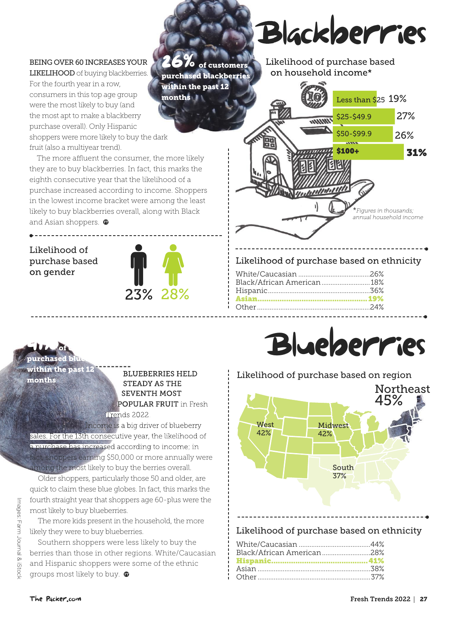#### BEING OVER 60 INCREASES YOUR

LIKELIHOOD of buying blackberries. For the fourth year in a row, consumers in this top age group were the most likely to buy (and the most apt to make a blackberry purchase overall). Only Hispanic shoppers were more likely to buy the dark fruit (also a multiyear trend). purchased blackberries within the past 12 months

The more affluent the consumer, the more likely they are to buy blackberries. In fact, this marks the eighth consecutive year that the likelihood of a purchase increased according to income. Shoppers in the lowest income bracket were among the least likely to buy blackberries overall, along with Black and Asian shoppers.  $\bullet$ 

Likelihood of purchase based on gender



**2** / 0 of customers

## Blackberries Blackberries

Likelihood of purchase based based on household income\*



#### Likelihood of purchase based on ethnicity

| Black/African American  18% |  |
|-----------------------------|--|
|                             |  |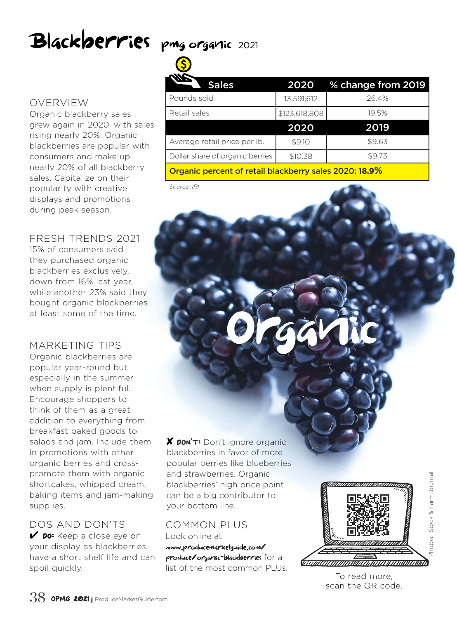# Blackberries pmg organic 2021

### OVERVIEW

Organic blackberry sales grew again in 2020, with sales rising nearly 20%. Organic blackberries are popular with consumers and make up nearly 20% of all blackberry sales. Capitalize on their popularity with creative displays and promotions during peak season.

#### FRESH TRENDS 2021

15% of consumers said they purchased organic blackberries exclusively, down from 16% last year, while another 23% said they bought organic blackberries at least some of the time. AT least some of the time.

Organic blackberries are popular year-round but especially in the summer when supply is plentiful. Encourage shoppers to think of them as a great addition to everything from breakfast baked goods to salads and jam. Include them in promotions with other organic berries and crosspromote them with organic shortcakes, whipped cream, baking items and jam-making supplies.

DOS AND DON'TS *V* po: Keep a close eye on your display as blackberries have a short shelf life and can spoil quickly.

| <b>Sales</b>                    | 2020          | % change from 2019 |  |
|---------------------------------|---------------|--------------------|--|
| Pounds sold                     | 13,591,612    | 26.4%              |  |
| Retail sales                    | \$123,618,808 | 19.5%              |  |
|                                 | 2020          | 2019               |  |
| Average retail price per lb.    | \$9.10        | \$9.63             |  |
| Dollar share of organic berries | \$10.38       | \$9.73             |  |
|                                 |               |                    |  |

Organic percent of retail blackberry sales 2020: **18.9%**

*Source: IRI*

✘ DON'T: Don't ignore organic blackberries in favor of more popular berries like blueberries and strawberries. Organic blackberries' high price point can be a big contributor to your bottom line.

#### COMMON PLUS

Look online at www.producemarketguide.com/ produce/organic-blackberries for a list of the most common PLUs.



To read more, scan the QR code.